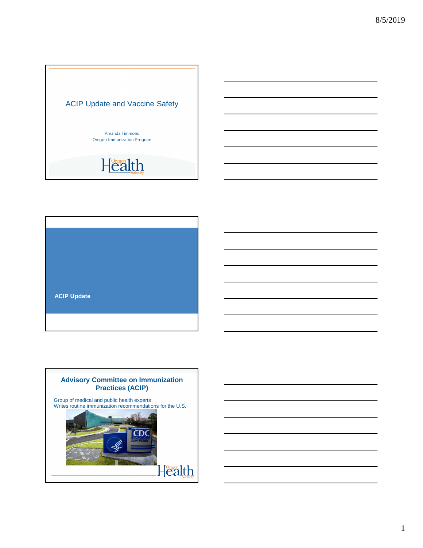





1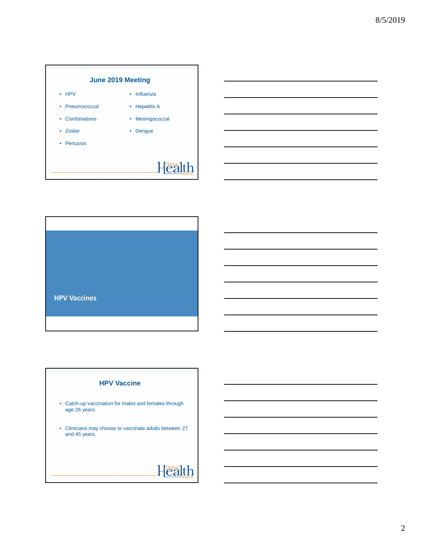

• Influenza • Hepatitis A • Meningococcal

• Dengue

- HPV
- Pneumococcal
- Combinations
- Zoster
- Pertussis

# $H^{\text{Oreson}}_{\text{Call}}$



#### **HPV Vaccine**

- Catch-up vaccination for males and females through age 26 years.
- Clinicians may choose to vaccinate adults between 27 and 45 years.

 $H^{\text{Oregon}}_{\text{Call}}$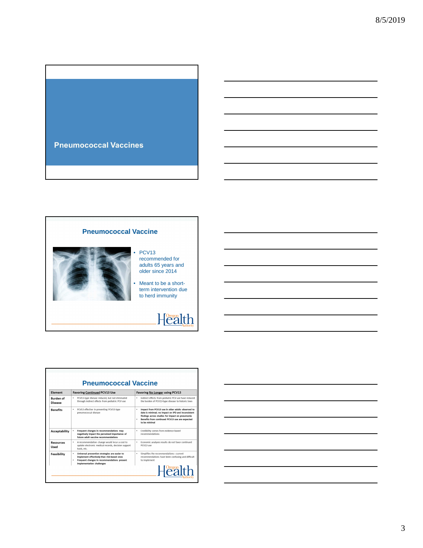

### **Pneumococcal Vaccine**



#### PCV<sub>13</sub> recommended for adults 65 years and older since 2014

• Meant to be a shortterm intervention due to herd immunity

## $H^{\text{Oregon}}_{\text{Call}}$

| Flement                     | <b>Favoring Continued PCV13 Use</b>                                                                                                                                               | <b>Favoring No Longer using PCV13</b>                                                                                                                                                                                                   |  |  |
|-----------------------------|-----------------------------------------------------------------------------------------------------------------------------------------------------------------------------------|-----------------------------------------------------------------------------------------------------------------------------------------------------------------------------------------------------------------------------------------|--|--|
| <b>Burden</b> of<br>Disease | PCV13-type disease reduced, but not eliminated<br>٠<br>through indirect effects from pediatric PCV use                                                                            | Indirect effects from pediatric PCV use have reduced<br>۰<br>the burden of PCV13-type disease to historic lows                                                                                                                          |  |  |
| <b>Benefits</b>             | PCV13 effective in preventing PCV13-type<br>pneumococcal disease                                                                                                                  | Impact from PCV13 use in older adults observed to<br>٠<br>date is minimal; no impact on IPD and inconsistent<br>findings across studies for impact on pneumonia<br>Benefits from continued PCV13 use are expected<br>٠<br>to be minimal |  |  |
| <b>Acceptability</b>        | Frequent changes in recommendations may<br>negatively impact the perceived importance of<br>future adult vaccine recommendations                                                  | Credibility comes from evidence-based<br>٠<br>recommendations                                                                                                                                                                           |  |  |
| Resources<br>Used           | A recommendation change would incur a cost to<br>٠<br>update electronic medical records, decision support<br>tools, etc.                                                          | Economic analyses results do not favor continued<br>٠<br>PCV13 use                                                                                                                                                                      |  |  |
| Feasibility                 | Universal prevention strategies are easier to<br>٠<br>implement effectively than risk-based ones<br>٠<br>Frequent changes in recommendations present<br>implementation challenges | Simplifies the recommendations-current<br>٠<br>recommendations have been confusing and difficult<br>to implement<br>Health                                                                                                              |  |  |

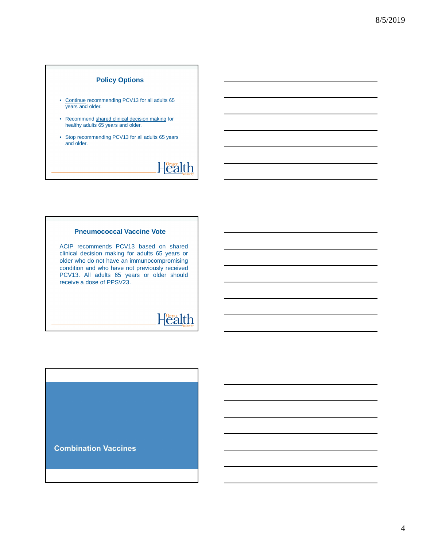### **Policy Options**

- Continue recommending PCV13 for all adults 65 years and older.
- Recommend shared clinical decision making for healthy adults 65 years and older.
- Stop recommending PCV13 for all adults 65 years and older.

## $H^{\text{Oregon}}_{\text{Call}}$

#### **Pneumococcal Vaccine Vote**

ACIP recommends PCV13 based on shared clinical decision making for adults 65 years or older who do not have an immunocompromising condition and who have not previously received PCV13. All adults 65 years or older should receive a dose of PPSV23.

## $H^{\text{Oregon}}_{\text{Eall}}$

**Combination Vaccines**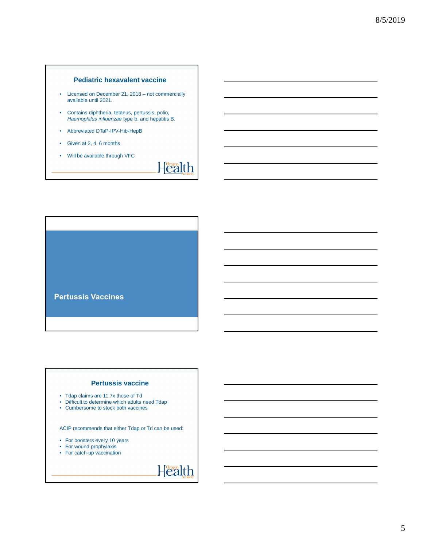### **Pediatric hexavalent vaccine**

- Licensed on December 21, 2018 not commercially available until 2021.
- Contains diphtheria, tetanus, pertussis, polio, Haemophilus influenzae type b, and hepatitis B.
- Abbreviated DTaP-IPV-Hib-HepB
- Given at 2, 4, 6 months
- Will be available through VFC

 $H^{\text{Oregon}}_{\text{Call}}$ 

**Pertussis Vaccines** 

### **Pertussis vaccine**

- Tdap claims are 11.7x those of Td
- Difficult to determine which adults need Tdap
- Cumbersome to stock both vaccines

ACIP recommends that either Tdap or Td can be used:

- For boosters every 10 years
- For wound prophylaxis
- For catch-up vaccination

 $H^{\text{Oregon}}_{\text{Call}}$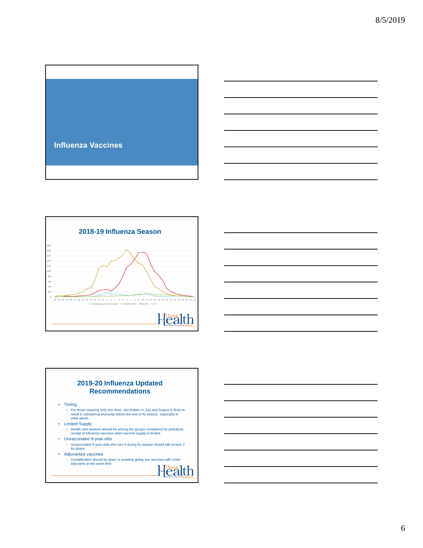



### **2019-20 Influenza Updated Recommendations**

- Timing
	- For those requiring only one dose, vaccination in July and August is likely to result in suboptimal immunity before the end of flu season, especially in older adults.
- Limited Supply
- Health care workers should be among the groups considered for prioritized receipt of influenza vaccines when vaccine supply is limited. • Unvaccinated 8-year-olds
- 
- Unvaccinated 8-year-olds who turn 9 during flu season should still receive 2 flu doses.
- Adjuvanted vaccines
	- Consideration should be given to avoiding giving two vaccines with novel adjuvants at the same time.
		- $H^{\text{Oreson}}_{\text{Eall}}$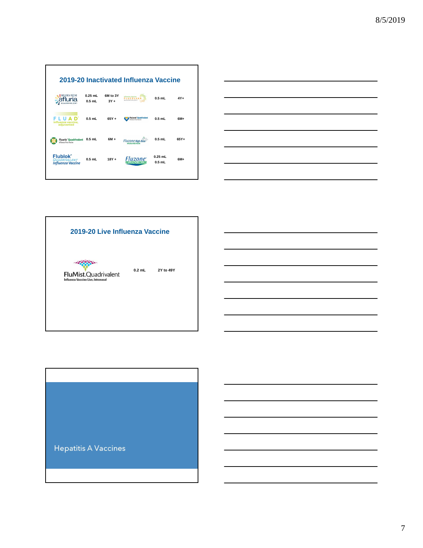| 2019-20 Inactivated Influenza Vaccine                              |                       |                    |                                                             |                       |       |  |  |
|--------------------------------------------------------------------|-----------------------|--------------------|-------------------------------------------------------------|-----------------------|-------|--|--|
| FLUENZA VACCINE                                                    | $0.25$ mL<br>$0.5$ mL | 6M to 3Y<br>$3Y +$ | <b>Influenza Vaccine</b>                                    | $0.5$ mL              | $4Y+$ |  |  |
| influenza vaccine,<br>adiuvanted                                   | $0.5$ mL              | $65Y +$            | <b>FluLaval' Ouadrivalent</b><br><b>Scenes View Verries</b> | $0.5$ mL              | $6M+$ |  |  |
| <b>Fluarix' Quadrivalent</b><br>Influence Virus Voccine            | $0.5$ mL              | $6M +$             | <b>Fluzone High-Dose</b>                                    | 0.5 mL                | 65Y+  |  |  |
| <b>Flublok</b> ®<br><b>ADRIVAI FNT</b><br><b>Influenza Vaccine</b> | $0.5$ mL              | $18Y +$            | <b>Fluzone</b>                                              | $0.25$ mL<br>$0.5$ mL | $6M+$ |  |  |





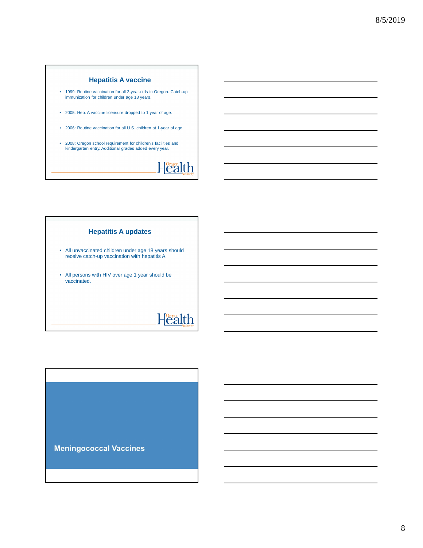### **Hepatitis A vaccine**

- 1999: Routine vaccination for all 2-year-olds in Oregon. Catch-up immunization for children under age 18 years.
- 2005: Hep. A vaccine licensure dropped to 1 year of age.
- 2006: Routine vaccination for all U.S. children at 1-year of age.
- 2008: Oregon school requirement for children's facilities and kindergarten entry. Additional grades added every year.

# $H^{\text{Oregon}}_{\text{Call}}$

#### **Hepatitis A updates**

- All unvaccinated children under age 18 years should receive catch-up vaccination with hepatitis A.
- All persons with HIV over age 1 year should be vaccinated.

## Health

**Meningococcal Vaccines**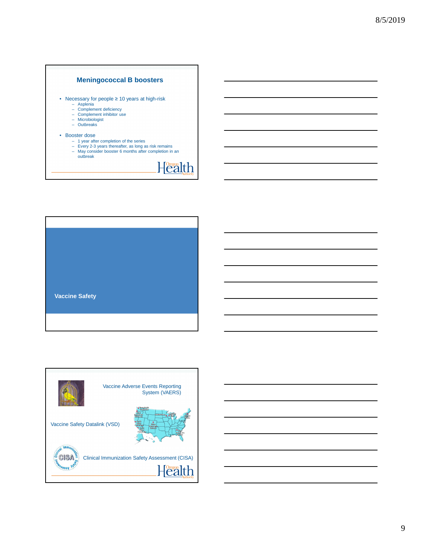### **Meningococcal B boosters**

- Necessary for people ≥ 10 years at high-risk Asplenia Complement deficiency Complement inhibitor use Microbiologist
	-
	-
	-
	- Outbreaks

#### • Booster dose

– 1 year after completion of the series – Every 2-3 years thereafter, as long as risk remains – May consider booster 6 months after completion in an outbreak

 $H^{\text{Oregon}}_{\text{Call}}$ 

- 
- **Vaccine Safety**



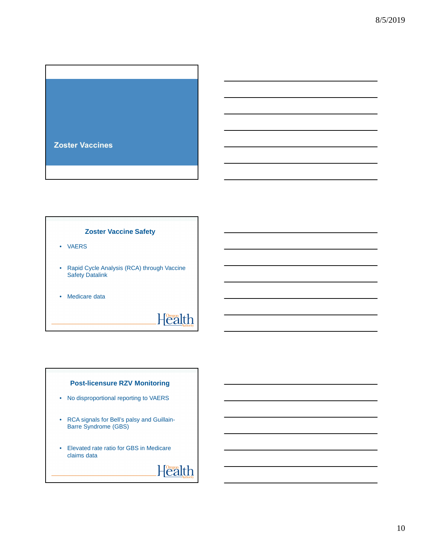

#### **Zoster Vaccine Safety**

- VAERS
- Rapid Cycle Analysis (RCA) through Vaccine Safety Datalink
- Medicare data

# $H^{\text{Oregon}}_{\text{Eall}}$

### **Post-licensure RZV Monitoring**

- No disproportional reporting to VAERS
- RCA signals for Bell's palsy and Guillain-Barre Syndrome (GBS)
- Elevated rate ratio for GBS in Medicare claims data